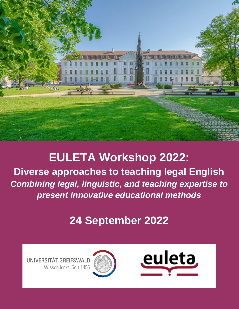

# **EULETA Workshop 2022:**

**Diverse approaches to teaching legal English**  *Combining legal, linguistic, and teaching expertise to present innovative educational methods*

# **24 September 2022**

UNIVERSITÄT GREIFSWALD Wissen lockt. Seit 1456

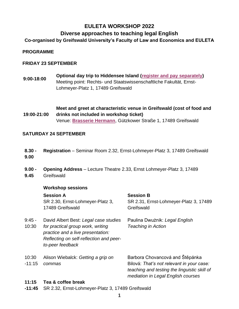## **EULETA WORKSHOP 2022**

### **Diverse approaches to teaching legal English**

**Co-organised by Greifswald University's Faculty of Law and Economics and EULETA** 

#### **PROGRAMME**

#### **FRIDAY 23 SEPTEMBER**

**9:00-18:00 Optional day trip to Hiddensee Island [\(register and pay separately\)](https://euleta.org/event-4822560)**  Meeting point: Rechts- und Staatswissenschaftliche Fakultät, Ernst-Lohmeyer-Platz 1, 17489 Greifswald

**19:00-21:00 Meet and greet at characteristic venue in Greifswald (cost of food and drinks not included in workshop ticket)** Venue: **[Brasserie Hermann](https://www.brasseriehermann.de/)**, Gützkower Straße 1, 17489 Greifswald

#### **SATURDAY 24 SEPTEMBER**

- **8.30 - 9.00 Registration** – Seminar Room 2.32, Ernst-Lohmeyer-Platz 3, 17489 Greifswald
- **9.00 - 9.45 Opening Address** – Lecture Theatre 2.33, Ernst Lohmeyer-Platz 3, 17489 **Greifswald**

#### **Workshop sessions**

|                   | <b>Session A</b><br>SR 2.30, Ernst-Lohmeyer-Platz 3,<br>17489 Greifswald                                                                                                       | <b>Session B</b><br>SR 2.31, Ernst-Lohmeyer-Platz 3, 17489<br>Greifswald                                                                                           |
|-------------------|--------------------------------------------------------------------------------------------------------------------------------------------------------------------------------|--------------------------------------------------------------------------------------------------------------------------------------------------------------------|
| $9:45 -$<br>10:30 | David Albert Best: Legal case studies<br>for practical group work, writing<br>practice and a live presentation:<br>Reflecting on self-reflection and peer-<br>to-peer feedback | Paulina Dwużnik: Legal English<br><b>Teaching in Action</b>                                                                                                        |
| 10:30<br>$-11:15$ | Alison Wiebalck: Getting a grip on<br>commas                                                                                                                                   | Barbora Chovancová and Štěpánka<br>Bilová: That's not relevant in your case:<br>teaching and testing the linguistic skill of<br>mediation in Legal English courses |
| 11:15             | Tea & coffee break                                                                                                                                                             |                                                                                                                                                                    |

**-11:45** SR 2.32, Ernst-Lohmeyer-Platz 3, 17489 Greifswald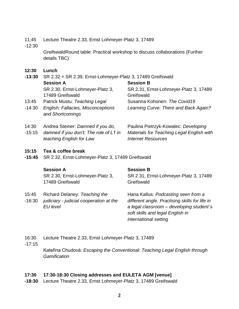- 11:45 Lecture Theatre 2.33, Ernst Lohmeyer-Platz 3, 17489
- -12:30

GreifswaldRound table: Practical workshop to discuss collaborations (Further details TBC)

**12:30 Lunch**

| $-13:30$ | SR 2.32 + SR 2.39, Ernst-Lohmeyer-Platz 3, 17489 Greifswald        |                                                                        |
|----------|--------------------------------------------------------------------|------------------------------------------------------------------------|
|          | <b>Session A</b>                                                   | <b>Session B</b>                                                       |
|          | SR 2.30, Ernst-Lohmeyer-Platz 3,<br>17489 Greifswald               | SR 2.31, Ernst-Lohmeyer-Platz 3, 17489<br>Greifswald                   |
| 13:45    | Patrick Mustu: Teaching Legal                                      | Susanna Kohonen: The Covid19                                           |
| $-14:30$ | English: Fallacies, Misconceptions<br>and Shortcomings             | Learning Curve: There and Back Again?                                  |
| 14:30    | Andrea Steiner: Damned if you do,                                  | Paulina Pietrzyk-Kowalec: Developing                                   |
| $-15:15$ | damned if you don't: The role of L1 in<br>teaching English for Law | Materials for Teaching Legal English with<br><b>Internet Resources</b> |

#### **15:15 Tea & coffee break**

**-15:45** SR 2.32, Ernst-Lohmeyer-Platz 3, 17489 Greifswald

| <b>Session A</b>                 | <b>Session B</b>                       |
|----------------------------------|----------------------------------------|
| SR 2.30, Ernst-Lohmeyer-Platz 3, | SR 2.31, Ernst-Lohmeyer-Platz 3, 17489 |
| 17489 Greifswald                 | Greifswald                             |

- 15:45 Richard Delaney: *Teaching the*
- -16:30 *judiciary - judicial cooperation at the EU level*

Hana Kallus: *Podcasting seen from a different angle. Practising skills for life in a legal classroom – developing student´s soft skills and legal English in international setting*

- 16:30 Lecture Theatre 2.33, Ernst Lohmeyer-Platz 3, 17489
- -17:15

Kateřina Chudová: *Escaping the Conventional: Teaching Legal English through Gamification*

#### **17:30 17:30-18:30 Closing addresses and EULETA AGM [venue]**

**-18:30** Lecture Theatre 2.33, Ernst Lohmeyer-Platz 3, 17489 Greifswald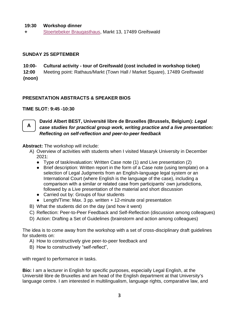#### **19:30 Workshop dinner**

**+** [Stoertebeker Braugasthaus,](https://www.stoertebeker-braugasthaus.de/) Markt 13, 17489 Greifswald

#### **SUNDAY 25 SEPTEMBER**

**10:00- Cultural activity - tour of Greifswald (cost included in workshop ticket)**

**12:00 (noon)** Meeting point: Rathaus/Markt (Town Hall / Market Square), 17489 Greifswald

#### **PRESENTATION ABSTRACTS & SPEAKER BIOS**

#### **TIME SLOT: 9:45 -10:30**



#### **David Albert BEST, Université libre de Bruxelles (Brussels, Belgium):** *Legal case studies for practical group work, writing practice and a live presentation: Reflecting on self-reflection and peer-to-peer feedback*

**Abstract:** The workshop will include:

- A) Overview of activities with students when I visited Masaryk University in December 2021:
	- Type of task/evaluation: Written Case note (1) and Live presentation (2)
	- Brief description: Written report in the form of a Case note (using template) on a selection of Legal Judgments from an English-language legal system or an International Court (where English is the language of the case), including a comparison with a similar or related case from participants' own jurisdictions, followed by a Live presentation of the material and short discussion
	- Carried out by: Groups of four students
	- Length/Time: Max. 3 pp. written + 12-minute oral presentation
- B) What the students did on the day (and how it went)
- C) Reflection: Peer-to-Peer Feedback and Self-Reflection (discussion among colleagues)
- D) Action: Drafting a Set of Guidelines (brainstorm and action among colleagues)

The idea is to come away from the workshop with a set of cross-disciplinary draft guidelines for students on:

- A) How to constructively give peer-to-peer feedback and
- B) How to constructively "self-reflect",

with regard to performance in tasks.

**Bio:** I am a lecturer in English for specific purposes, especially Legal English, at the Université libre de Bruxelles and am head of the English department at that University's language centre. I am interested in multilingualism, language rights, comparative law, and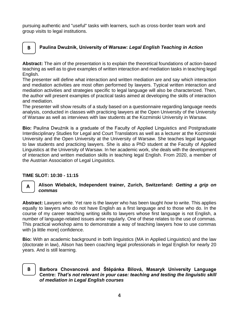pursuing authentic and "useful" tasks with learners, such as cross-border team work and group visits to legal institutions.

### **Paulina Dwużnik, University of Warsaw:** *Legal English Teaching in Action*

**Abstract:** The aim of the presentation is to explain the theoretical foundations of action-based teaching as well as to give examples of written interaction and mediation tasks in teaching legal English.

The presenter will define what interaction and written mediation are and say which interaction and mediation activities are most often performed by lawyers. Typical written interaction and mediation activities and strategies specific to legal language will also be characterized. Then, the author will present examples of practical tasks aimed at developing the skills of interaction and mediation.

The presenter will show results of a study based on a questionnaire regarding language needs analysis, conducted in classes with practicing lawyers at the Open University of the University of Warsaw as well as interviews with law students at the Kozminski University in Warsaw.

**Bio:** Paulina Dwużnik is a graduate of the Faculty of Applied Linguistics and Postgraduate Interdisciplinary Studies for Legal and Court Translators as well as a lecturer at the Kozminski University and the Open University at the University of Warsaw. She teaches legal language to law students and practicing lawyers. She is also a PhD student at the Faculty of Applied Linguistics at the University of Warsaw. In her academic work, she deals with the development of interaction and written mediation skills in teaching legal English. From 2020, a member of the Austrian Association of Legal Linguistics.

#### **TIME SLOT: 10:30 - 11:15**



**B**

#### **Alison Wiebalck, Independent trainer, Zurich, Switzerland:** *Getting a grip on commas*

**Abstract:** Lawyers write. Yet rare is the lawyer who has been taught *how* to write. This applies equally to lawyers who do not have English as a first language and to those who do. In the course of my career teaching writing skills to lawyers whose first language is not English, a number of language-related issues arise regularly. One of these relates to the use of commas. This practical workshop aims to demonstrate a way of teaching lawyers how to use commas with [a little more] confidence.

**Bio:** With an academic background in both linguistics (MA in Applied Linguistics) and the law (doctorate in law), Alison has been coaching legal professionals in legal English for nearly 20 years. And is still learning.

## **B**

**Barbora Chovancová and Štěpánka Bilová, Masaryk University Language Centre:** *That's not relevant in your case: teaching and testing the linguistic skill of mediation in Legal English courses*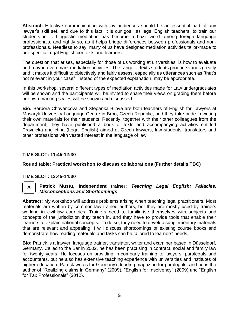**Abstract:** Effective communication with lay audiences should be an essential part of any lawyer's skill set, and due to this fact, it is our goal, as legal English teachers, to train our students in it. Linguistic mediation has become a buzz word among foreign language professionals, and rightly so, as it helps bridge differences between professionals and nonprofessionals. Needless to say, many of us have designed mediation activities tailor-made to our specific Legal English contexts and learners.

The question that arises, especially for those of us working at universities, is how to evaluate and maybe even mark mediation activities. The range of texts students produce varies greatly and it makes it difficult to objectively and fairly assess, especially as utterances such as "that's not relevant in your case" instead of the expected explanation, may be appropriate.

In this workshop, several different types of mediation activities made for Law undergraduates will be shown and the participants will be invited to share their views on grading them before our own marking scales will be shown and discussed.

**Bio:** Barbora Chovancova and Stepanka Bilova are both teachers of English for Lawyers at Masaryk University Language Centre in Brno, Czech Republic, and they take pride in writing their own materials for their students. Recently, together with their other colleagues from the department, they have published a book of texts and accompanying activities entitled Pravnicka anglictina (Legal English) aimed at Czech lawyers, law students, translators and other professions with vested interest in the language of law.

#### **TIME SLOT: 11:45-12:30**

#### **Round table: Practical workshop to discuss collaborations (Further details TBC)**

#### **TIME SLOT: 13:45-14:30**

## **A**

#### **Patrick Mustu, Independent trainer:** *Teaching Legal English: Fallacies, Misconceptions and Shortcomings*

**Abstract:** My workshop will address problems arising when teaching legal practitioners. Most materials are written by common-law trained authors, but they are mostly used by trainers working in civil-law countries. Trainers need to familiarise themselves with subjects and concepts of the jurisdiction they teach in, and they have to provide tools that enable their learners to explain national concepts. To do so, they need to develop supplementary materials that are relevant and appealing. I will discuss shortcomings of existing course books and demonstrate how reading materials and tasks can be tailored to learners' needs.

**Bio:** Patrick is a lawyer, language trainer, translator, writer and examiner based in Düsseldorf, Germany. Called to the Bar in 2002, he has been practising in contract, social and family law for twenty years. He focuses on providing in-company training to lawyers, paralegals and accountants, but he also has extensive teaching experience with universities and institutes of higher education. Patrick writes for Germany's leading magazine for paralegals, and he is the author of "Realizing claims in Germany" (2009), "English for Insolvency" (2009) and "English for Tax Professionals" (2012).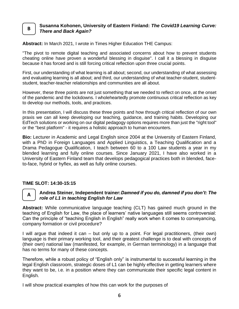#### **Susanna Kohonen, University of Eastern Finland:** *The Covid19 Learning Curve: There and Back Again?*  **B**

**Abstract:** In March 2021, I wrote in Times Higher Education THE Campus:

"The pivot to remote digital teaching and associated concerns about how to prevent students cheating online have proven a wonderful blessing in disguise". I call it a blessing in disguise because it has forced and is still forcing critical reflection upon three crucial points.

First, our understanding of what learning is all about; second, our understanding of what assessing and evaluating learning is all about; and third, our understanding of what teacher-student, studentstudent, teacher-teacher relationships and communities are all about.

However, these three points are not just something that we needed to reflect on once, at the onset of the pandemic and the lockdowns. I wholeheartedly promote continuous critical reflection as key to develop our methods, tools, and practices.

In this presentation, I will discuss these three points and how through critical reflection of our own praxis we can all keep developing our teaching, guidance, and training habits. Developing our EdTech solutions or working on our digital pedagogy options requires more than just the "right tool" or the "best platform" - it requires a holistic approach to human encounters.

**Bio:** Lecturer in Academic and Legal English since 2004 at the University of Eastern Finland, with a PhD in Foreign Languages and Applied Linguistics, a Teaching Qualification and a Drama Pedagogue Qualification, I teach between 60 to a 100 Law students a year in my blended learning and fully online courses. Since January 2021, I have also worked in a University of Eastern Finland team that develops pedagogical practices both in blended, faceto-face, hybrid or hyflex, as well as fully online courses.

#### **TIME SLOT: 14:30-15:15**

# **A**

#### **Andrea Steiner, Independent trainer:***Damned if you do, damned if you don't: The role of L1 in teaching English for Law*

**Abstract:** While communicative language teaching (CLT) has gained much ground in the teaching of English for Law, the place of learners' native languages still seems controversial: Can the principle of "teaching English in English" really work when it comes to conveyancing, company formation or civil procedure?

I will argue that indeed it can – but only up to a point. For legal practitioners, (their own) language is their primary working tool, and their greatest challenge is to deal with concepts of (their own) national law (manifested, for example, in German terminology) in a language that has no terms for many of these concepts.

Therefore, while a robust policy of "English only" is instrumental to successful learning in the legal English classroom, strategic doses of L1 can be highly effective in getting learners where they want to be, i.e. in a position where they can communicate their specific legal content in English.

I will show practical examples of how this can work for the purposes of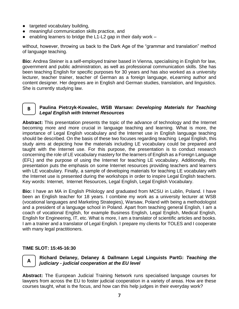- targeted vocabulary building,
- meaningful communication skills practice, and
- $\bullet$  enabling learners to bridge the L1-L2 gap in their daily work  $-$

without, however, throwing us back to the Dark Age of the "grammar and translation" method of language teaching.

**Bio:** Andrea Steiner is a self-employed trainer based in Vienna, specialising in English for law, government and public administration, as well as professional communication skills. She has been teaching English for specific purposes for 30 years and has also worked as a university lecturer, teacher trainer, teacher of German as a foreign language, eLearning author and content designer. Her degrees are in English and German studies, translation, and linguistics. She is currently studying law.

# **B**

#### **Paulina Pietrzyk-Kowalec, WSB Warsaw:** *Developing Materials for Teaching Legal English with Internet Resources*

**Abstract:** This presentation presents the topic of the advance of technology and the Internet becoming more and more crucial in language teaching and learning. What is more, the importance of Legal English vocabulary and the Internet use in English language teaching should be described. On the basis of these two focuses regarding teaching Legal English, this study aims at depicting how the materials including LE vocabulary could be prepared and taught with the Internet use. For this purpose, the presentation is to conduct research concerning the role of LE vocabulary mastery for the learners of English as a Foreign Language (EFL) and the purpose of using the Internet for teaching LE vocabulary. Additionally, this presentation puts the emphasis on some Internet resources providing teachers and learners with LE vocabulary. Finally, a sample of developing materials for teaching LE vocabulary with the Internet use is presented during the workshops in order to inspire Legal English teachers. Key words: Internet, Internet Resources, Legal English, Legal English Vocabulary.

**Bio:** I have an MA in English Philology and graduated from MCSU in Lublin, Poland. I have been an English teacher for 18 years. I combine my work as a university lecturer at WSB (vocational languages and Marketing Strategies), Warsaw, Poland with being a methodologist and a president of a language school in Poland. Apart from teaching general English, I am a coach of vocational English, for example Business English, Legal English, Medical English, English for Engineering, IT, etc. What is more, I am a translator of scientific articles and books. I am a trainer and a translator of Legal English. I prepare my clients for TOLES and I cooperate with many legal practitioners.

#### **TIME SLOT: 15:45-16:30**



#### **Richard Delaney, Delaney & Dallmann Legal Linguists PartG:** *Teaching the judiciary - judicial cooperation at the EU level*

**Abstract:** The European Judicial Training Network runs specialised language courses for lawyers from across the EU to foster judicial cooperation in a variety of areas. How are these courses taught, what is the focus, and how can this help judges in their everyday work?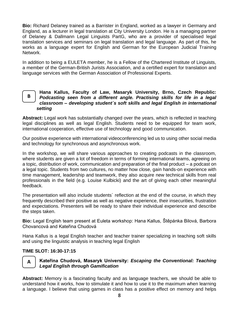**Bio:** Richard Delaney trained as a Barrister in England, worked as a lawyer in Germany and England, as a lecturer in legal translation at City University London. He is a managing partner of Delaney & Dallmann Legal Linguists PartG, who are a provider of specialised legal translation services and seminars on legal translation and legal language. As part of this, he works as a language expert for English and German for the European Judicial Training Network.

In addition to being a EULETA member, he is a Fellow of the Chartered Institute of Linguists, a member of the German-British Jurists Association, and a certified expert for translation and language services with the German Association of Professional Experts.

#### **Hana Kallus, Faculty of Law, Masaryk University, Brno, Czech Republic:**  *Podcasting seen from a different angle. Practising skills for life in a legal classroom – developing student´s soft skills and legal English in international setting* **B**

**Abstract:** Legal work has substantially changed over the years, which is reflected in teaching legal disciplines as well as legal English. Students need to be equipped for team work, international cooperation, effective use of technology and good communication.

Our positive experience with international videoconferencing led us to using other social media and technology for synchronous and asynchronous work.

In the workshop, we will share various approaches to creating podcasts in the classroom, where students are given a lot of freedom in terms of forming international teams, agreeing on a topic, distribution of work, communication and preparation of the final product – a podcast on a legal topic. Students from two cultures, no matter how close, gain hands-on experience with time management, leadership and teamwork, they also acquire new technical skills from real professionals in the field (e.g. Louise Kulbicki) and the art of giving each other meaningful feedback.

The presentation will also include students´ reflection at the end of the course, in which they frequently described their positive as well as negative experience, their insecurities, frustration and expectations. Presenters will be ready to share their individual experience and describe the steps taken.

**Bio:** Legal English team present at Euleta workshop: Hana Kallus, Štěpánka Bilová, Barbora Chovancová and Kateřina Chudová

Hana Kallus is a legal English teacher and teacher trainer specializing in teaching soft skills and using the linguistic analysis in teaching legal English

#### **TIME SLOT: 16:30-17:15**



#### **Kateřina Chudová, Masaryk University:** *Escaping the Conventional: Teaching Legal English through Gamification*

**Abstract:** Memory is a fascinating faculty and as language teachers, we should be able to understand how it works, how to stimulate it and how to use it to the maximum when learning a language. I believe that using games in class has a positive effect on memory and helps